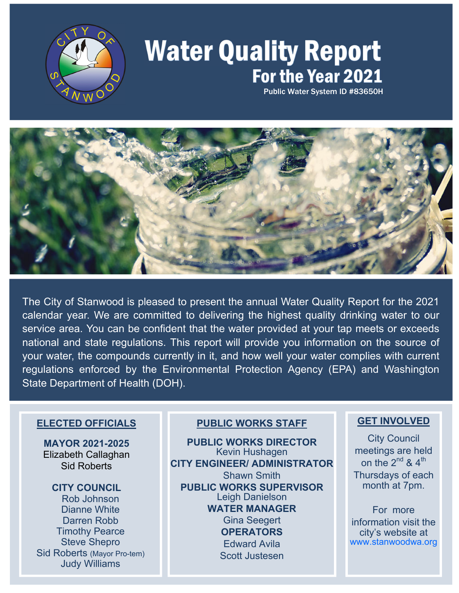

# **Water Quality Report** For the Year 2021

Public Water System ID #83650H



The City of Stanwood is pleased to present the annual Water Quality Report for the 2021 calendar year. We are committed to delivering the highest quality drinking water to our service area. You can be confident that the water provided at your tap meets or exceeds national and state regulations. This report will provide you information on the source of your water, the compounds currently in it, and how well your water complies with current regulations enforced by the Environmental Protection Agency (EPA) and Washington State Department of Health (DOH).

### **ELECTED OFFICIALS**

**MAYOR 2021-2025** Elizabeth Callaghan Sid Roberts

**CITY COUNCIL**  Rob Johnson Dianne White Darren Robb Timothy Pearce Steve Shepro Sid Roberts (Mayor Pro-tem) Judy Williams

## **PUBLIC WORKS STAFF**

**PUBLIC WORKS DIRECTOR** Kevin Hushagen **CITY ENGINEER/ ADMINISTRATOR**  Shawn Smith **PUBLIC WORKS SUPERVISOR**  Leigh Danielson **WATER MANAGER**  Gina Seegert **OPERATORS**  Edward Avila Scott Justesen

## **GET INVOLVED**

City Council meetings are held on the  $2^{nd}$  &  $4^{th}$ Thursdays of each month at 7pm.

For more information visit the city's website at www.stanwoodwa.org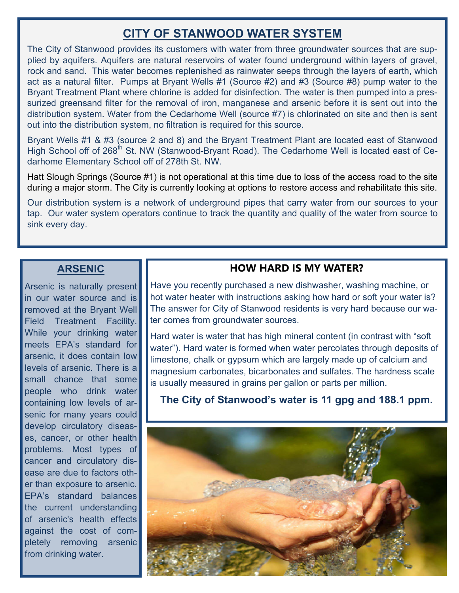# **CITY OF STANWOOD WATER SYSTEM**

The City of Stanwood provides its customers with water from three groundwater sources that are supplied by aquifers. Aquifers are natural reservoirs of water found underground within layers of gravel, rock and sand. This water becomes replenished as rainwater seeps through the layers of earth, which act as a natural filter. Pumps at Bryant Wells #1 (Source #2) and #3 (Source #8) pump water to the Bryant Treatment Plant where chlorine is added for disinfection. The water is then pumped into a pressurized greensand filter for the removal of iron, manganese and arsenic before it is sent out into the distribution system. Water from the Cedarhome Well (source #7) is chlorinated on site and then is sent out into the distribution system, no filtration is required for this source.

Bryant Wells #1 & #3 (source 2 and 8) and the Bryant Treatment Plant are located east of Stanwood High School off of 268<sup>th</sup> St. NW (Stanwood-Bryant Road). The Cedarhome Well is located east of Cedarhome Elementary School off of 278th St. NW.

Hatt Slough Springs (Source #1) is not operational at this time due to loss of the access road to the site during a major storm. The City is currently looking at options to restore access and rehabilitate this site.

Our distribution system is a network of underground pipes that carry water from our sources to your tap. Our water system operators continue to track the quantity and quality of the water from source to sink every day.

## **ARSENIC**

Arsenic is naturally present in our water source and is removed at the Bryant Well Field Treatment Facility. While your drinking water meets EPA's standard for arsenic, it does contain low levels of arsenic. There is a small chance that some people who drink water containing low levels of arsenic for many years could develop circulatory diseases, cancer, or other health problems. Most types of cancer and circulatory disease are due to factors other than exposure to arsenic. EPA's standard balances the current understanding of arsenic's health effects against the cost of completely removing arsenic from drinking water.

## **HOW HARD IS MY WATER?**

Have you recently purchased a new dishwasher, washing machine, or hot water heater with instructions asking how hard or soft your water is? The answer for City of Stanwood residents is very hard because our water comes from groundwater sources.

Hard water is water that has high mineral content (in contrast with "soft water"). Hard water is formed when water percolates through deposits of limestone, chalk or gypsum which are largely made up of calcium and magnesium carbonates, bicarbonates and sulfates. The hardness scale is usually measured in grains per gallon or parts per million.

**The City of Stanwood's water is 11 gpg and 188.1 ppm.**

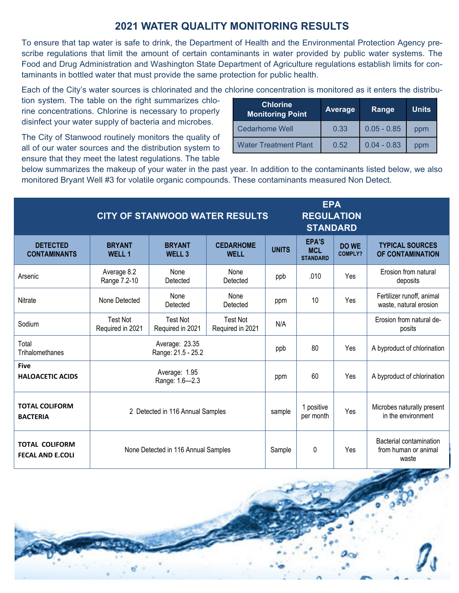## **2021 WATER QUALITY MONITORING RESULTS**

To ensure that tap water is safe to drink, the Department of Health and the Environmental Protection Agency prescribe regulations that limit the amount of certain contaminants in water provided by public water systems. The Food and Drug Administration and Washington State Department of Agriculture regulations establish limits for contaminants in bottled water that must provide the same protection for public health.

Each of the City's water sources is chlorinated and the chlorine concentration is monitored as it enters the distribu-

tion system. The table on the right summarizes chlorine concentrations. Chlorine is necessary to properly disinfect your water supply of bacteria and microbes.

The City of Stanwood routinely monitors the quality of all of our water sources and the distribution system to ensure that they meet the latest regulations. The table

| <b>Chlorine</b><br><b>Monitoring Point</b> | <b>Average</b> | Range         | <b>Units</b> |  |
|--------------------------------------------|----------------|---------------|--------------|--|
| <b>Cedarhome Well</b>                      | 0.33           | $0.05 - 0.85$ | ppm          |  |
| <b>Water Treatment Plant</b>               | 0.52           | $0.04 - 0.83$ | ppm          |  |

below summarizes the makeup of your water in the past year. In addition to the contaminants listed below, we also monitored Bryant Well #3 for volatile organic compounds. These contaminants measured Non Detect.

|                                                  | <b>CITY OF STANWOOD WATER RESULTS</b> |                                     |                                     |              | <b>EPA</b><br><b>REGULATION</b><br><b>STANDARD</b> |                                |                                                          |
|--------------------------------------------------|---------------------------------------|-------------------------------------|-------------------------------------|--------------|----------------------------------------------------|--------------------------------|----------------------------------------------------------|
| <b>DETECTED</b><br><b>CONTAMINANTS</b>           | <b>BRYANT</b><br><b>WELL 1</b>        | <b>BRYANT</b><br><b>WELL 3</b>      | <b>CEDARHOME</b><br><b>WELL</b>     | <b>UNITS</b> | EPA'S<br><b>MCL</b><br><b>STANDARD</b>             | <b>DO WE</b><br><b>COMPLY?</b> | <b>TYPICAL SOURCES</b><br>OF CONTAMINATION               |
| Arsenic                                          | Average 8.2<br>Range 7.2-10           | None<br>Detected                    | None<br>Detected                    | ppb          | .010                                               | Yes                            | Erosion from natural<br>deposits                         |
| Nitrate                                          | None Detected                         | None<br>Detected                    | None<br>Detected                    | ppm          | 10                                                 | Yes                            | Fertilizer runoff, animal<br>waste, natural erosion      |
| Sodium                                           | <b>Test Not</b><br>Required in 2021   | <b>Test Not</b><br>Required in 2021 | <b>Test Not</b><br>Required in 2021 | N/A          |                                                    |                                | Erosion from natural de-<br>posits                       |
| Total<br>Trihalomethanes                         | Average: 23.35<br>Range: 21.5 - 25.2  |                                     |                                     | ppb          | 80                                                 | Yes                            | A byproduct of chlorination                              |
| <b>Five</b><br><b>HALOACETIC ACIDS</b>           | Average: 1.95<br>Range: 1.6-2.3       |                                     |                                     | ppm          | 60                                                 | Yes                            | A byproduct of chlorination                              |
| <b>TOTAL COLIFORM</b><br><b>BACTERIA</b>         | 2 Detected in 116 Annual Samples      |                                     |                                     | sample       | 1 positive<br>per month                            | Yes                            | Microbes naturally present<br>in the environment         |
| <b>TOTAL COLIFORM</b><br><b>FECAL AND E.COLI</b> | None Detected in 116 Annual Samples   |                                     |                                     | Sample       | 0                                                  | Yes                            | Bacterial contamination<br>from human or animal<br>waste |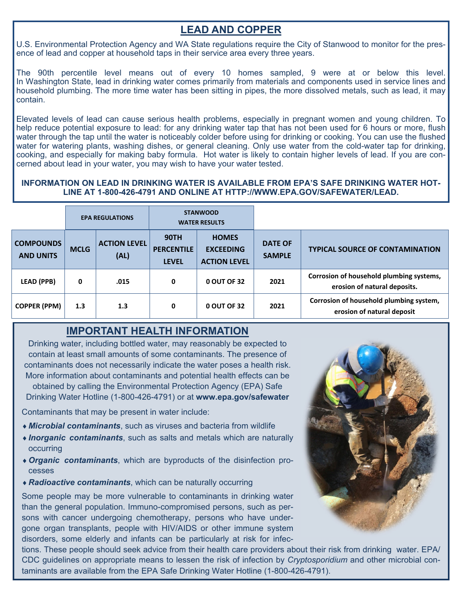# **LEAD AND COPPER**

U.S. Environmental Protection Agency and WA State regulations require the City of Stanwood to monitor for the presence of lead and copper at household taps in their service area every three years.

The 90th percentile level means out of every 10 homes sampled, 9 were at or below this level. In Washington State, lead in drinking water comes primarily from materials and components used in service lines and household plumbing. The more time water has been sitting in pipes, the more dissolved metals, such as lead, it may contain.

Elevated levels of lead can cause serious health problems, especially in pregnant women and young children. To help reduce potential exposure to lead: for any drinking water tap that has not been used for 6 hours or more, flush water through the tap until the water is noticeably colder before using for drinking or cooking. You can use the flushed water for watering plants, washing dishes, or general cleaning. Only use water from the cold-water tap for drinking, cooking, and especially for making baby formula. Hot water is likely to contain higher levels of lead. If you are concerned about lead in your water, you may wish to have your water tested.

#### **INFORMATION ON LEAD IN DRINKING WATER IS AVAILABLE FROM EPA'S SAFE DRINKING WATER HOT-LINE AT 1-800-426-4791 AND ONLINE AT HTTP://WWW.EPA.GOV/SAFEWATER/LEAD.**

|                                      |             | <b>EPA REGULATIONS</b>      |                                                  | <b>STANWOOD</b><br><b>WATER RESULTS</b>                 |                                 |                                                                          |
|--------------------------------------|-------------|-----------------------------|--------------------------------------------------|---------------------------------------------------------|---------------------------------|--------------------------------------------------------------------------|
| <b>COMPOUNDS</b><br><b>AND UNITS</b> | <b>MCLG</b> | <b>ACTION LEVEL</b><br>(AL) | <b>90TH</b><br><b>PERCENTILE</b><br><b>LEVEL</b> | <b>HOMES</b><br><b>EXCEEDING</b><br><b>ACTION LEVEL</b> | <b>DATE OF</b><br><b>SAMPLE</b> | <b>TYPICAL SOURCE OF CONTAMINATION</b>                                   |
| <b>LEAD (PPB)</b>                    | 0           | .015                        | 0                                                | 0 OUT OF 32                                             | 2021                            | Corrosion of household plumbing systems,<br>erosion of natural deposits. |
| <b>COPPER (PPM)</b>                  | 1.3         | 1.3                         | 0                                                | 0 OUT OF 32                                             | 2021                            | Corrosion of household plumbing system,<br>erosion of natural deposit    |

## **IMPORTANT HEALTH INFORMATION**

Drinking water, including bottled water, may reasonably be expected to contain at least small amounts of some contaminants. The presence of contaminants does not necessarily indicate the water poses a health risk. More information about contaminants and potential health effects can be obtained by calling the Environmental Protection Agency (EPA) Safe Drinking Water Hotline (1-800-426-4791) or at **www.epa.gov/safewater** 

Contaminants that may be present in water include:

- *Microbial contaminants*, such as viruses and bacteria from wildlife
- *Inorganic contaminants*, such as salts and metals which are naturally occurring
- *Organic contaminants*, which are byproducts of the disinfection processes
- *Radioactive contaminants*, which can be naturally occurring

Some people may be more vulnerable to contaminants in drinking water than the general population. Immuno-compromised persons, such as persons with cancer undergoing chemotherapy, persons who have undergone organ transplants, people with HIV/AIDS or other immune system disorders, some elderly and infants can be particularly at risk for infec-

tions. These people should seek advice from their health care providers about their risk from drinking water. EPA/ CDC guidelines on appropriate means to lessen the risk of infection by *Cryptosporidium* and other microbial contaminants are available from the EPA Safe Drinking Water Hotline (1-800-426-4791).